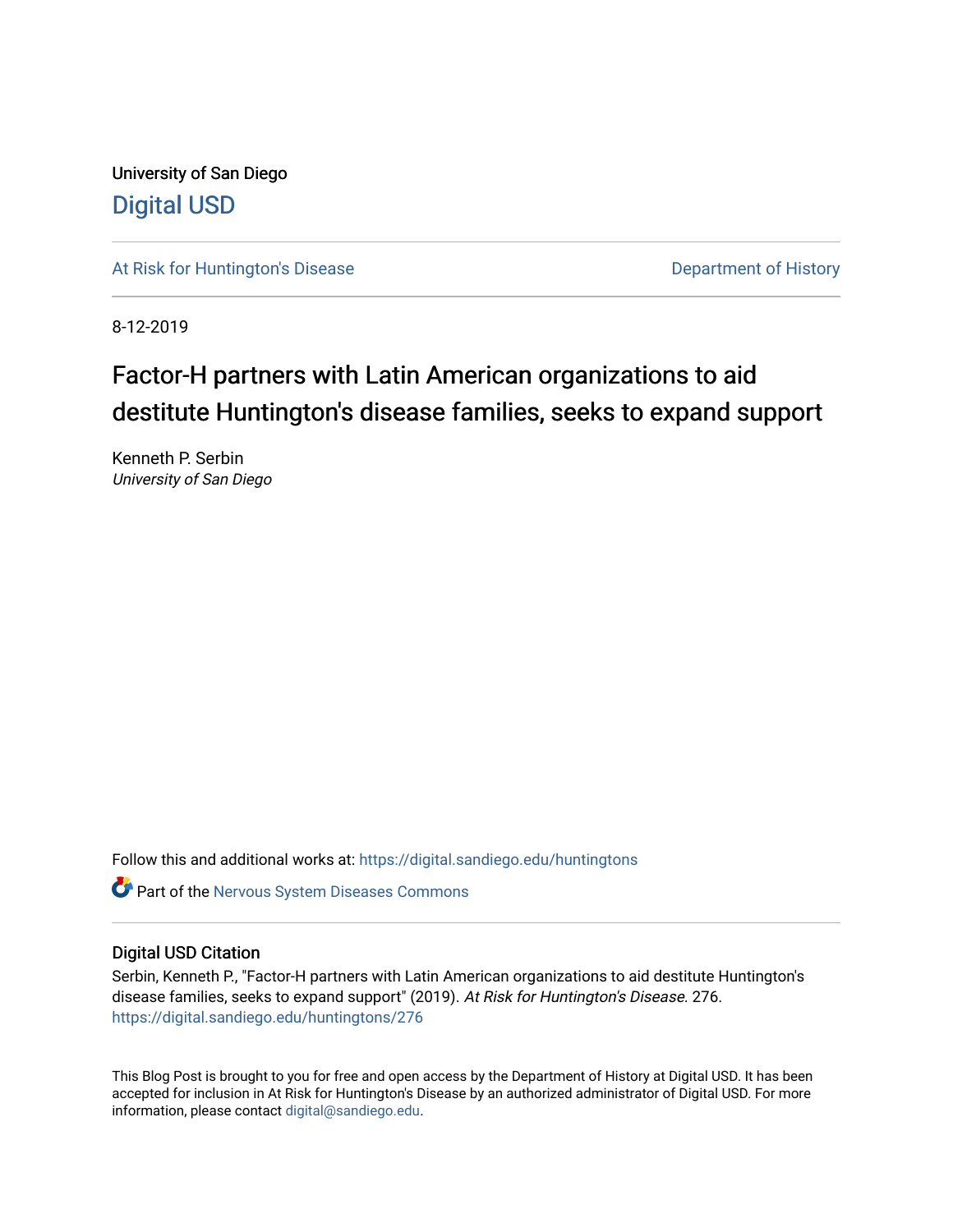University of San Diego [Digital USD](https://digital.sandiego.edu/)

[At Risk for Huntington's Disease](https://digital.sandiego.edu/huntingtons) **Department of History** Department of History

8-12-2019

## Factor-H partners with Latin American organizations to aid destitute Huntington's disease families, seeks to expand support

Kenneth P. Serbin University of San Diego

Follow this and additional works at: [https://digital.sandiego.edu/huntingtons](https://digital.sandiego.edu/huntingtons?utm_source=digital.sandiego.edu%2Fhuntingtons%2F276&utm_medium=PDF&utm_campaign=PDFCoverPages)

**C** Part of the [Nervous System Diseases Commons](http://network.bepress.com/hgg/discipline/928?utm_source=digital.sandiego.edu%2Fhuntingtons%2F276&utm_medium=PDF&utm_campaign=PDFCoverPages)

### Digital USD Citation

Serbin, Kenneth P., "Factor-H partners with Latin American organizations to aid destitute Huntington's disease families, seeks to expand support" (2019). At Risk for Huntington's Disease. 276. [https://digital.sandiego.edu/huntingtons/276](https://digital.sandiego.edu/huntingtons/276?utm_source=digital.sandiego.edu%2Fhuntingtons%2F276&utm_medium=PDF&utm_campaign=PDFCoverPages)

This Blog Post is brought to you for free and open access by the Department of History at Digital USD. It has been accepted for inclusion in At Risk for Huntington's Disease by an authorized administrator of Digital USD. For more information, please contact [digital@sandiego.edu.](mailto:digital@sandiego.edu)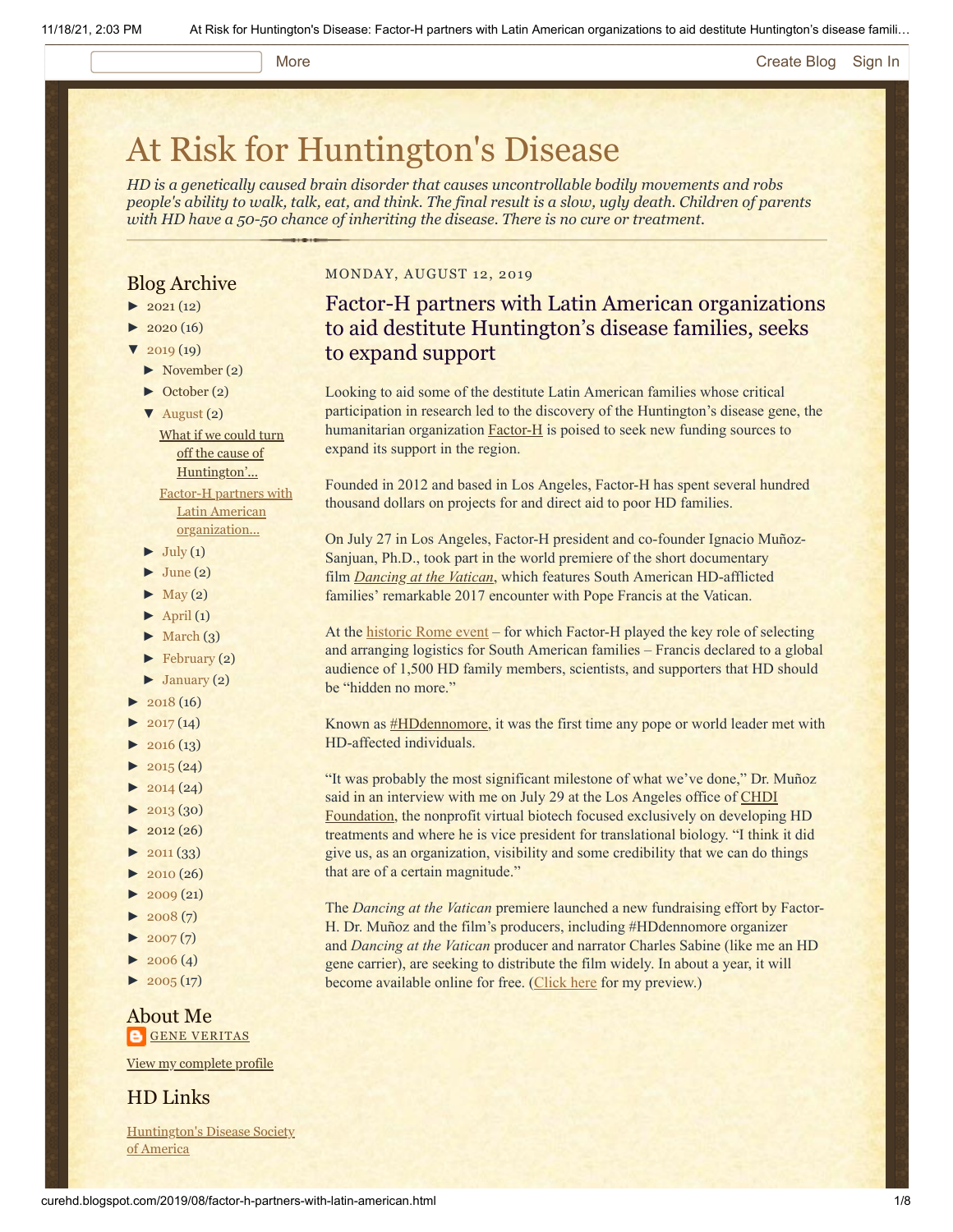### More **[Create Blog](https://www.blogger.com/home#create) [Sign In](https://www.blogger.com/)**

# [At Risk for Huntington's Disease](http://curehd.blogspot.com/)

*HD is a genetically caused brain disorder that causes uncontrollable bodily movements and robs people's ability to walk, talk, eat, and think. The final result is a slow, ugly death. Children of parents with HD have a 50-50 chance of inheriting the disease. There is no cure or treatment.*

### Blog Archive

- $\blacktriangleright$  [2021](http://curehd.blogspot.com/2021/) (12)
- $2020(16)$  $2020(16)$
- $2019(19)$  $2019(19)$ 
	- [►](javascript:void(0)) [November](http://curehd.blogspot.com/2019/11/) (2)
	- [►](javascript:void(0)) [October](http://curehd.blogspot.com/2019/10/) (2)
	- [▼](javascript:void(0)) [August](http://curehd.blogspot.com/2019/08/) (2) What if we could turn off the cause of [Huntington'...](http://curehd.blogspot.com/2019/08/what-if-we-could-turn-off-cause-of.html) Factor-H partners with

Latin American [organization...](http://curehd.blogspot.com/2019/08/factor-h-partners-with-latin-american.html)

- $\blacktriangleright$  [July](http://curehd.blogspot.com/2019/07/) (1)
- $\blacktriangleright$  [June](http://curehd.blogspot.com/2019/06/) (2)
- $\blacktriangleright$  [May](http://curehd.blogspot.com/2019/05/) (2)
- $\blacktriangleright$  [April](http://curehd.blogspot.com/2019/04/) (1)
- $\blacktriangleright$  [March](http://curehd.blogspot.com/2019/03/) (3)
- [►](javascript:void(0)) [February](http://curehd.blogspot.com/2019/02/) (2)
- $\blacktriangleright$  [January](http://curehd.blogspot.com/2019/01/) (2)
- $\blacktriangleright$  [2018](http://curehd.blogspot.com/2018/) (16)
- $2017(14)$  $2017(14)$
- $2016(13)$  $2016(13)$
- $2015(24)$  $2015(24)$
- $2014(24)$  $2014(24)$
- $\blacktriangleright$  [2013](http://curehd.blogspot.com/2013/) (30)
- $\blacktriangleright$  [2012](http://curehd.blogspot.com/2012/) (26)
- $\blacktriangleright$  [2011](http://curehd.blogspot.com/2011/) (33)
- $2010(26)$  $2010(26)$
- $\blacktriangleright$  [2009](http://curehd.blogspot.com/2009/) (21)
- $\blacktriangleright$  [2008](http://curehd.blogspot.com/2008/) $(7)$
- $2007(7)$  $2007(7)$
- $\blacktriangleright$  [2006](http://curehd.blogspot.com/2006/) (4)
- $\blacktriangleright$  [2005](http://curehd.blogspot.com/2005/) (17)

### About Me **GENE [VERITAS](https://www.blogger.com/profile/10911736205741688185)**

View my [complete](https://www.blogger.com/profile/10911736205741688185) profile

### HD Links

[Huntington's](http://www.hdsa.org/) Disease Society of America

### MONDAY, AUGUST 12, 2019

## Factor-H partners with Latin American organizations to aid destitute Huntington's disease families, seeks to expand support

Looking to aid some of the destitute Latin American families whose critical participation in research led to the discovery of the Huntington's disease gene, the humanitarian organization  $Factor-H$  $Factor-H$  $Factor-H$  is poised to seek new funding sources to</u> expand its support in the region.

Founded in 2012 and based in Los Angeles, Factor-H has spent several hundred thousand dollars on projects for and direct aid to poor HD families.

On July 27 in Los Angeles, Factor-H president and co-founder Ignacio Muñoz-Sanjuan, Ph.D., took part in the world premiere of the short documentary film *[Dancing at the Vatican](https://www.dancingatthevatican.com/)*, which features South American HD-afflicted families' remarkable 2017 encounter with Pope Francis at the Vatican.

At the [historic Rome event](http://curehd.blogspot.com/2017/03/pope-francis-i-to-meet-with-victims-of.html) – for which Factor-H played the key role of selecting and arranging logistics for South American families – Francis declared to a global audience of 1,500 HD family members, scientists, and supporters that HD should be "hidden no more."

Known as **[#HDdennomore](http://hddennomore.com/)**, it was the first time any pope or world leader met with HD-affected individuals.

"It was probably the most significant milestone of what we've done," Dr. Muñoz said in an interview with me on July 29 at the Los Angeles office of CHDI [Foundation, the nonprofit virtual biotech focused exclusively on developin](https://chdifoundation.org/)g HD treatments and where he is vice president for translational biology. "I think it did give us, as an organization, visibility and some credibility that we can do things that are of a certain magnitude."

The *Dancing at the Vatican* premiere launched a new fundraising effort by Factor-H. Dr. Muñoz and the film's producers, including #HDdennomore organizer and *Dancing at the Vatican* producer and narrator Charles Sabine (like me an HD gene carrier), are seeking to distribute the film widely. In about a year, it will become available online for free. [\(Click here](http://curehd.blogspot.com/2019/07/dancing-at-vatican-about-huntingtons.html) for my preview.)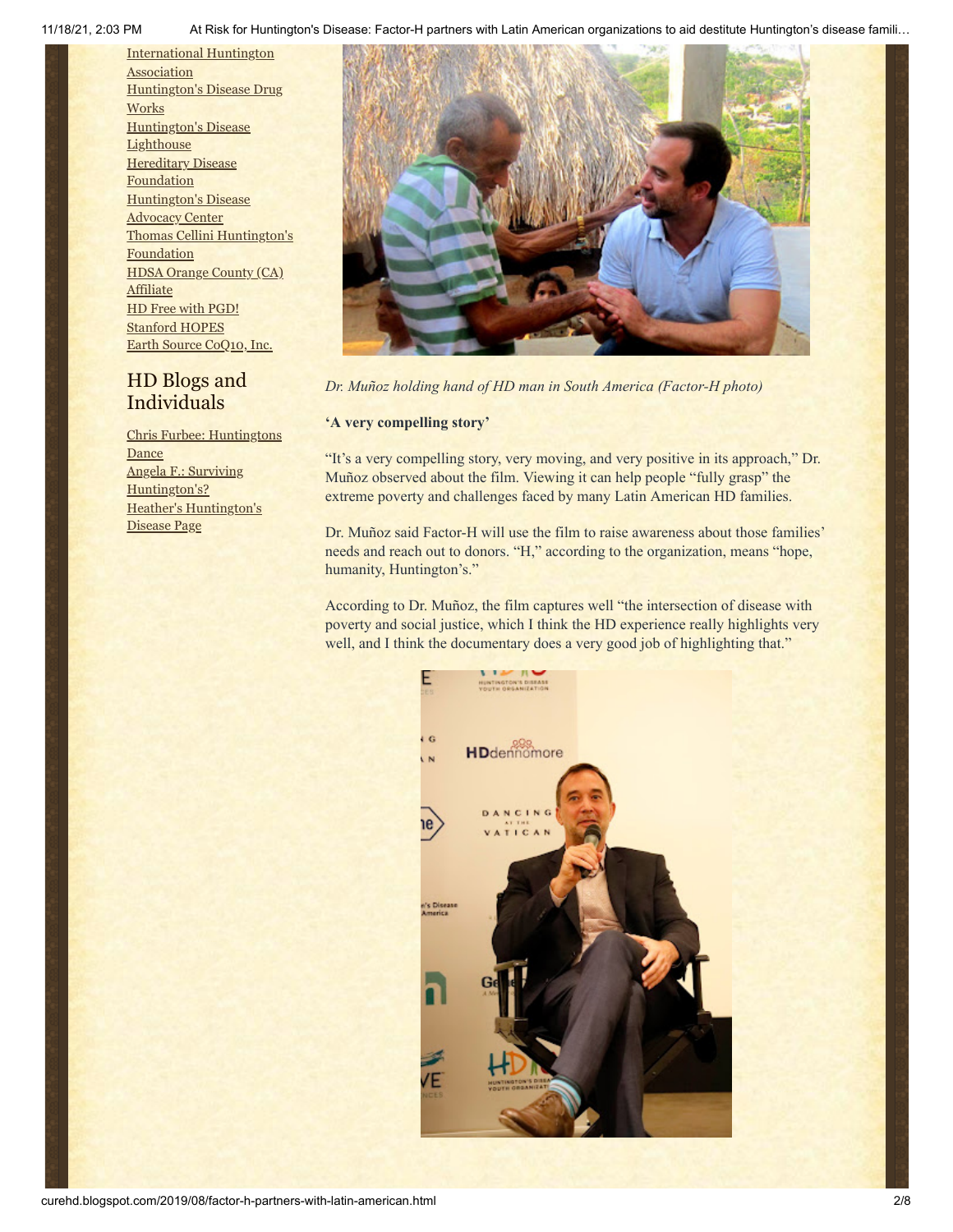[International](http://www.huntington-assoc.com/) Huntington **Association** [Huntington's](http://hddrugworks.org/) Disease Drug **Works** [Huntington's](http://www.hdlighthouse.org/) Disease **Lighthouse [Hereditary](http://www.hdfoundation.org/) Disease Foundation** [Huntington's](http://www.hdac.org/) Disease Advocacy Center Thomas [Cellini Huntington's](http://www.ourtchfoundation.org/) **Foundation** HDSA Orange County (CA) **[Affiliate](http://www.hdsaoc.org/)** HD Free with [PGD!](http://www.hdfreewithpgd.com/) [Stanford](http://www.stanford.edu/group/hopes/) HOPES Earth Source [CoQ10,](http://www.escoq10.com/) Inc.

### HD Blogs and Individuals

Chris Furbee: [Huntingtons](http://www.huntingtonsdance.org/) Dance Angela F.: Surviving [Huntington's?](http://survivinghuntingtons.blogspot.com/) Heather's [Huntington's](http://heatherdugdale.angelfire.com/) Disease Page



*Dr. Muñoz holding hand of HD man in South America (Factor-H photo)*

### **'A very compelling story'**

"It's a very compelling story, very moving, and very positive in its approach," Dr. Muñoz observed about the film. Viewing it can help people "fully grasp" the extreme poverty and challenges faced by many Latin American HD families.

Dr. Muñoz said Factor-H will use the film to raise awareness about those families' needs and reach out to donors. "H," according to the organization, means "hope, humanity, Huntington's."

According to Dr. Muñoz, the film captures well "the intersection of disease with poverty and social justice, which I think the HD experience really highlights very well, and I think the documentary does a very good job of highlighting that."

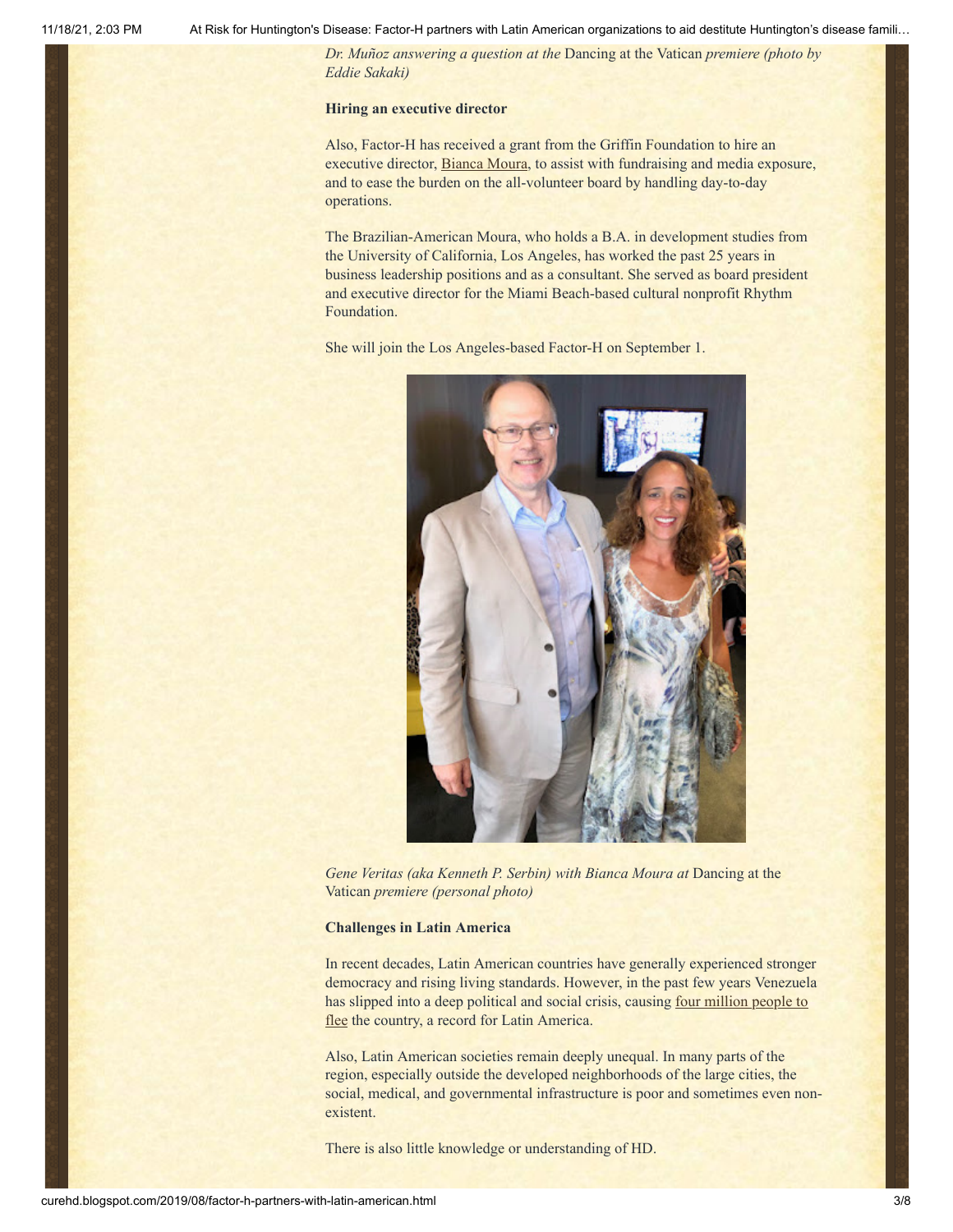*Dr. Muñoz answering a question at the* Dancing at the Vatican *premiere (photo by Eddie Sakaki)*

### **Hiring an executive director**

Also, Factor-H has received a grant from the Griffin Foundation to hire an executive director, **Bianca Moura**, to assist with fundraising and media exposure, and to ease the burden on the all-volunteer board by handling day-to-day operations.

The Brazilian-American Moura, who holds a B.A. in development studies from the University of California, Los Angeles, has worked the past 25 years in business leadership positions and as a consultant. She served as board president and executive director for the Miami Beach-based cultural nonprofit Rhythm Foundation.

She will join the Los Angeles-based Factor-H on September 1.



Gene Veritas (aka Kenneth P. Serbin) with Bianca Moura at Dancing at the Vatican *premiere (personal photo)*

#### **Challenges in Latin America**

In recent decades, Latin American countries have generally experienced stronger democracy and rising living standards. However, in the past few years Venezuela has slipped into a deep political and social crisis, causing <u>four million people to</u> flee the country, a record for Latin America.

Also, Latin American societies remain deeply unequal. In many parts of the region, especially outside the developed neighborhoods of the large cities, the social, medical, and governmental infrastructure is poor and sometimes even nonexistent.

There is also little knowledge or understanding of HD.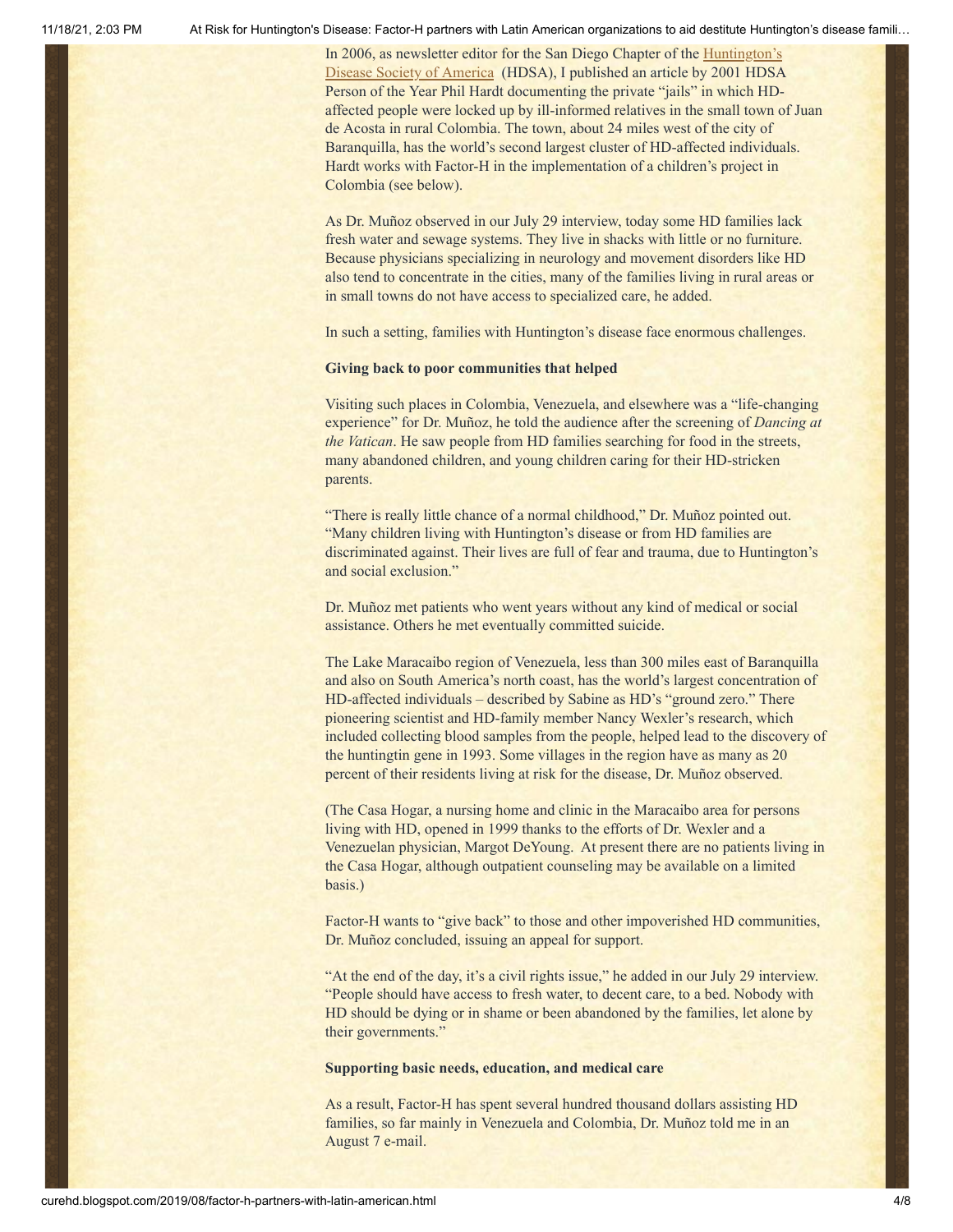[In 2006, as newsletter editor for the San Diego Chapter of the Huntington's](http://www.hdsa.org/) Disease Society of America (HDSA), I published an article by 2001 HDSA Person of the Year Phil Hardt documenting the private "jails" in which HDaffected people were locked up by ill-informed relatives in the small town of Juan de Acosta in rural Colombia. The town, about 24 miles west of the city of Baranquilla, has the world's second largest cluster of HD-affected individuals. Hardt works with Factor-H in the implementation of a children's project in Colombia (see below).

As Dr. Muñoz observed in our July 29 interview, today some HD families lack fresh water and sewage systems. They live in shacks with little or no furniture. Because physicians specializing in neurology and movement disorders like HD also tend to concentrate in the cities, many of the families living in rural areas or in small towns do not have access to specialized care, he added.

In such a setting, families with Huntington's disease face enormous challenges.

#### **Giving back to poor communities that helped**

Visiting such places in Colombia, Venezuela, and elsewhere was a "life-changing experience" for Dr. Muñoz, he told the audience after the screening of *Dancing at the Vatican*. He saw people from HD families searching for food in the streets, many abandoned children, and young children caring for their HD-stricken parents.

"There is really little chance of a normal childhood," Dr. Muñoz pointed out. "Many children living with Huntington's disease or from HD families are discriminated against. Their lives are full of fear and trauma, due to Huntington's and social exclusion."

Dr. Muñoz met patients who went years without any kind of medical or social assistance. Others he met eventually committed suicide.

The Lake Maracaibo region of Venezuela, less than 300 miles east of Baranquilla and also on South America's north coast, has the world's largest concentration of HD-affected individuals – described by Sabine as HD's "ground zero." There pioneering scientist and HD-family member Nancy Wexler's research, which included collecting blood samples from the people, helped lead to the discovery of the huntingtin gene in 1993. Some villages in the region have as many as 20 percent of their residents living at risk for the disease, Dr. Muñoz observed.

(The Casa Hogar, a nursing home and clinic in the Maracaibo area for persons living with HD, opened in 1999 thanks to the efforts of Dr. Wexler and a Venezuelan physician, Margot DeYoung. At present there are no patients living in the Casa Hogar, although outpatient counseling may be available on a limited basis.)

Factor-H wants to "give back" to those and other impoverished HD communities, Dr. Muñoz concluded, issuing an appeal for support.

"At the end of the day, it's a civil rights issue," he added in our July 29 interview. "People should have access to fresh water, to decent care, to a bed. Nobody with HD should be dying or in shame or been abandoned by the families, let alone by their governments."

### **Supporting basic needs, education, and medical care**

As a result, Factor-H has spent several hundred thousand dollars assisting HD families, so far mainly in Venezuela and Colombia, Dr. Muñoz told me in an August 7 e-mail.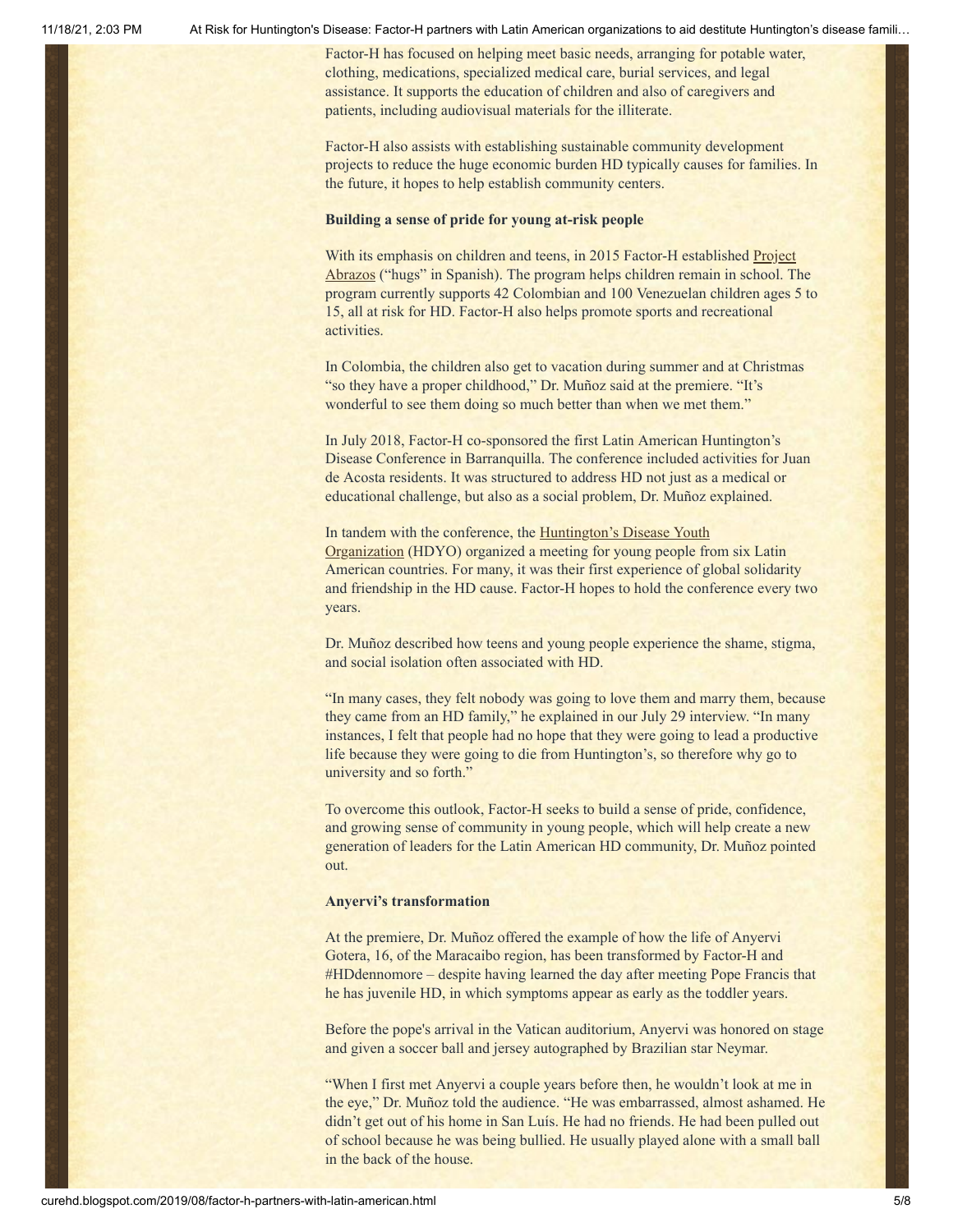Factor-H has focused on helping meet basic needs, arranging for potable water, clothing, medications, specialized medical care, burial services, and legal assistance. It supports the education of children and also of caregivers and patients, including audiovisual materials for the illiterate.

Factor-H also assists with establishing sustainable community development projects to reduce the huge economic burden HD typically causes for families. In the future, it hopes to help establish community centers.

### **Building a sense of pride for young at-risk people**

[With its emphasis on children and teens, in 2015 Factor-H established Project](https://factor-h.org/kids-project) Abrazos ("hugs" in Spanish). The program helps children remain in school. The program currently supports 42 Colombian and 100 Venezuelan children ages 5 to 15, all at risk for HD. Factor-H also helps promote sports and recreational activities.

In Colombia, the children also get to vacation during summer and at Christmas "so they have a proper childhood," Dr. Muñoz said at the premiere. "It's wonderful to see them doing so much better than when we met them."

In July 2018, Factor-H co-sponsored the first Latin American Huntington's Disease Conference in Barranquilla. The conference included activities for Juan de Acosta residents. It was structured to address HD not just as a medical or educational challenge, but also as a social problem, Dr. Muñoz explained.

[In tandem with the conference, the Huntington's Disease Youth](https://en.hdyo.org/) Organization (HDYO) organized a meeting for young people from six Latin American countries. For many, it was their first experience of global solidarity and friendship in the HD cause. Factor-H hopes to hold the conference every two years.

Dr. Muñoz described how teens and young people experience the shame, stigma, and social isolation often associated with HD.

"In many cases, they felt nobody was going to love them and marry them, because they came from an HD family," he explained in our July 29 interview. "In many instances, I felt that people had no hope that they were going to lead a productive life because they were going to die from Huntington's, so therefore why go to university and so forth."

To overcome this outlook, Factor-H seeks to build a sense of pride, confidence, and growing sense of community in young people, which will help create a new generation of leaders for the Latin American HD community, Dr. Muñoz pointed out.

#### **Anyervi's transformation**

At the premiere, Dr. Muñoz offered the example of how the life of Anyervi Gotera, 16, of the Maracaibo region, has been transformed by Factor-H and #HDdennomore – despite having learned the day after meeting Pope Francis that he has juvenile HD, in which symptoms appear as early as the toddler years.

Before the pope's arrival in the Vatican auditorium, Anyervi was honored on stage and given a soccer ball and jersey autographed by Brazilian star Neymar.

"When I first met Anyervi a couple years before then, he wouldn't look at me in the eye," Dr. Muñoz told the audience. "He was embarrassed, almost ashamed. He didn't get out of his home in San Luís. He had no friends. He had been pulled out of school because he was being bullied. He usually played alone with a small ball in the back of the house.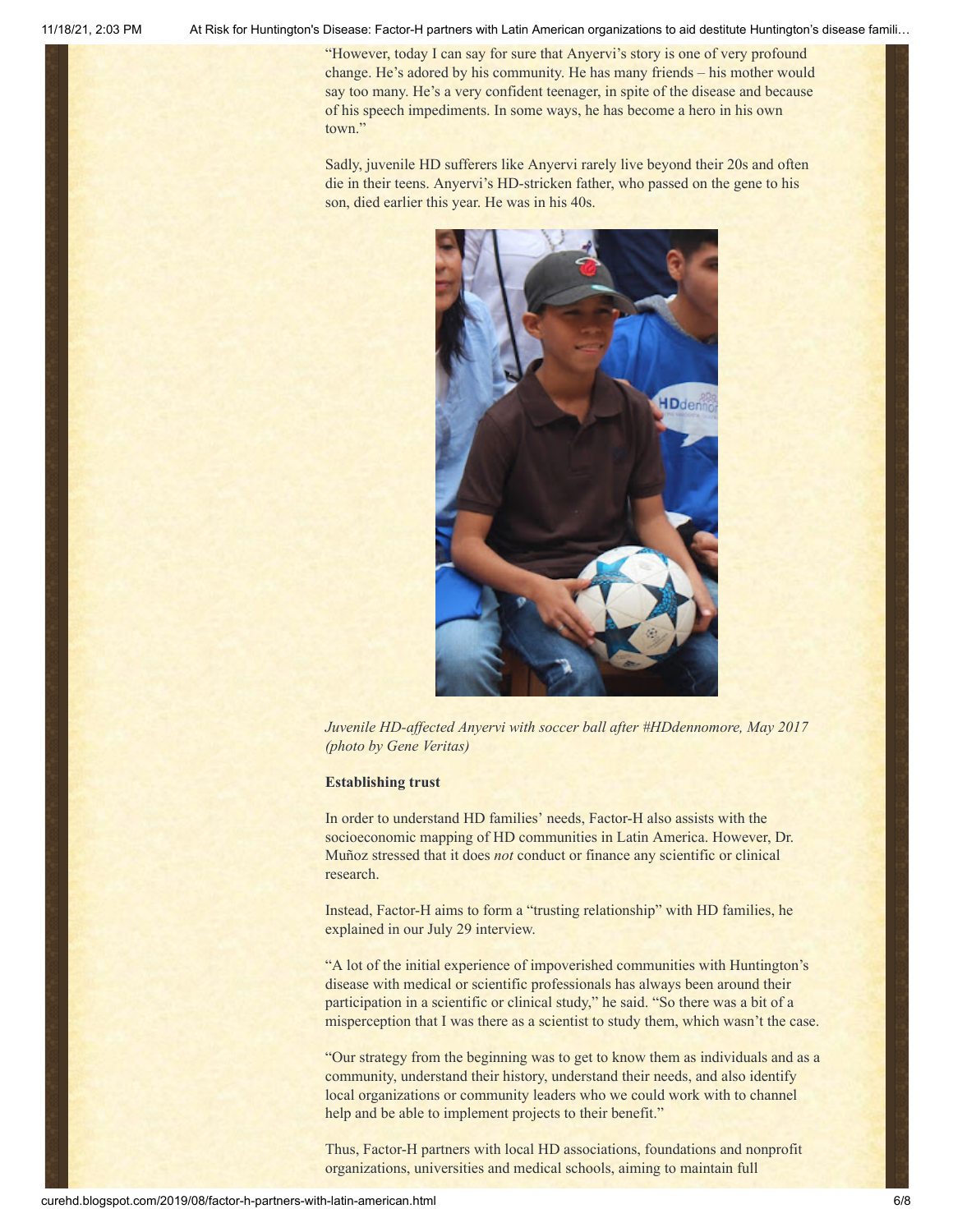"However, today I can say for sure that Anyervi's story is one of very profound change. He's adored by his community. He has many friends – his mother would say too many. He's a very confident teenager, in spite of the disease and because of his speech impediments. In some ways, he has become a hero in his own town."

Sadly, juvenile HD sufferers like Anyervi rarely live beyond their 20s and often die in their teens. Anyervi's HD-stricken father, who passed on the gene to his son, died earlier this year. He was in his 40s.



*Juvenile HD-affected Anyervi with soccer ball after #HDdennomore, May 2017 (photo by Gene Veritas)*

### **Establishing trust**

In order to understand HD families' needs, Factor-H also assists with the socioeconomic mapping of HD communities in Latin America. However, Dr. Muñoz stressed that it does *not* conduct or finance any scientific or clinical research.

Instead, Factor-H aims to form a "trusting relationship" with HD families, he explained in our July 29 interview.

"A lot of the initial experience of impoverished communities with Huntington's disease with medical or scientific professionals has always been around their participation in a scientific or clinical study," he said. "So there was a bit of a misperception that I was there as a scientist to study them, which wasn't the case.

"Our strategy from the beginning was to get to know them as individuals and as a community, understand their history, understand their needs, and also identify local organizations or community leaders who we could work with to channel help and be able to implement projects to their benefit."

Thus, Factor-H partners with local HD associations, foundations and nonprofit organizations, universities and medical schools, aiming to maintain full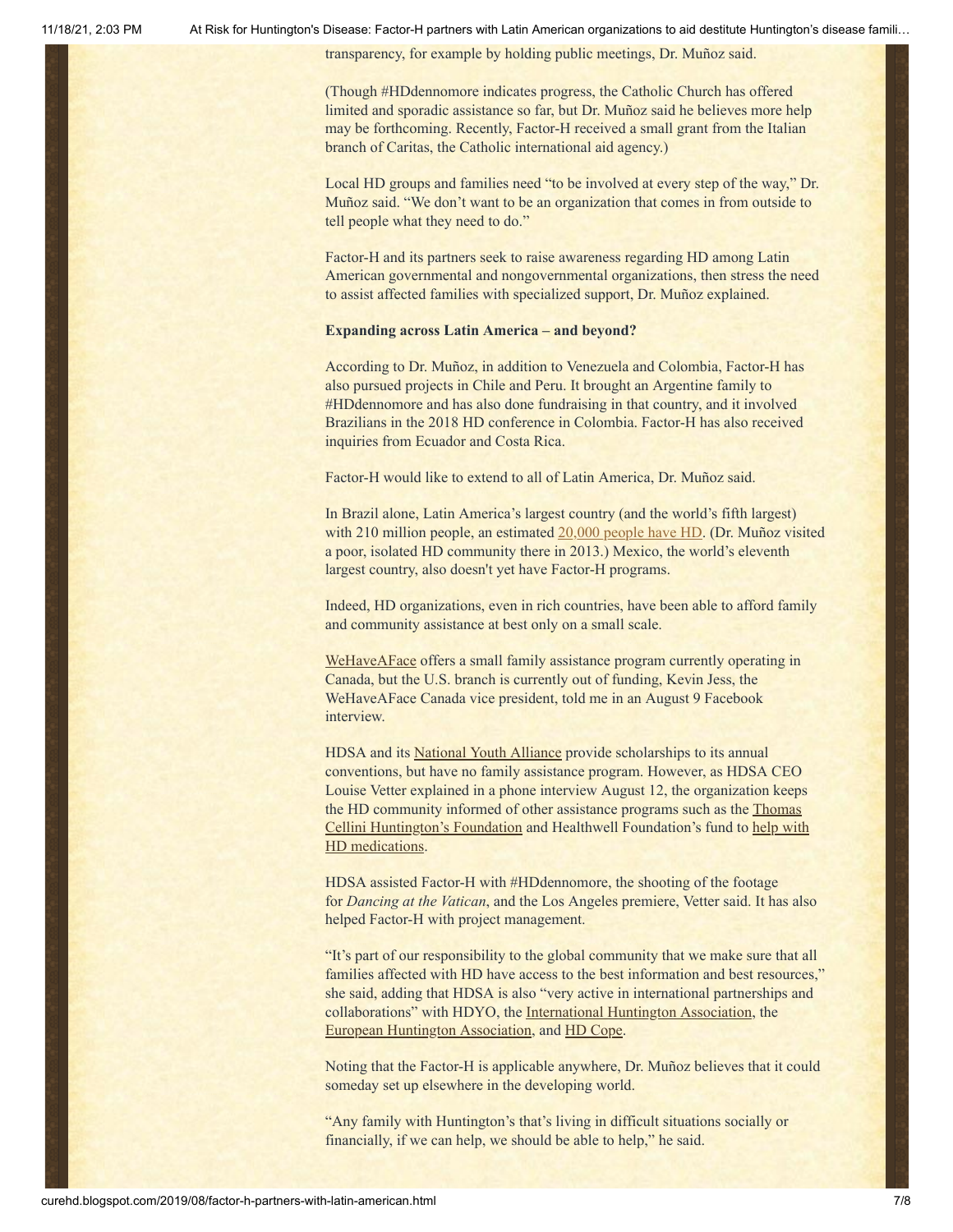transparency, for example by holding public meetings, Dr. Muñoz said.

(Though #HDdennomore indicates progress, the Catholic Church has offered limited and sporadic assistance so far, but Dr. Muñoz said he believes more help may be forthcoming. Recently, Factor-H received a small grant from the Italian branch of Caritas, the Catholic international aid agency.)

Local HD groups and families need "to be involved at every step of the way," Dr. Muñoz said. "We don't want to be an organization that comes in from outside to tell people what they need to do."

Factor-H and its partners seek to raise awareness regarding HD among Latin American governmental and nongovernmental organizations, then stress the need to assist affected families with specialized support, Dr. Muñoz explained.

#### **Expanding across Latin America – and beyond?**

According to Dr. Muñoz, in addition to Venezuela and Colombia, Factor-H has also pursued projects in Chile and Peru. It brought an Argentine family to #HDdennomore and has also done fundraising in that country, and it involved Brazilians in the 2018 HD conference in Colombia. Factor-H has also received inquiries from Ecuador and Costa Rica.

Factor-H would like to extend to all of Latin America, Dr. Muñoz said.

In Brazil alone, Latin America's largest country (and the world's fifth largest) with 210 million people, an estimated [20,000 people have HD](http://curehd.blogspot.com/2013/04/brazils-big-place-on-huntingtons.html). (Dr. Muñoz visited a poor, isolated HD community there in 2013.) Mexico, the world's eleventh largest country, also doesn't yet have Factor-H programs.

Indeed, HD organizations, even in rich countries, have been able to afford family and community assistance at best only on a small scale.

[WeHaveAFace](https://www.wehaveaface.org/applyusa) offers a small family assistance program currently operating in Canada, but the U.S. branch is currently out of funding, Kevin Jess, the WeHaveAFace Canada vice president, told me in an August 9 Facebook interview.

HDSA and its [National Youth Alliance](https://nya.hdsa.org/) provide scholarships to its annual conventions, but have no family assistance program. However, as HDSA CEO Louise Vetter explained in a phone interview August 12, the organization keeps [the HD community informed of other assistance programs such as the Thomas](https://ourtchfoundation.org/) Cellini Huntington's Foundation [and Healthwell Foundation's fund to help with](https://hdsa.org/news/healthwell-foundation-opens-huntingtons-disease-fund-to-assist-medicare-patients/) HD medications.

HDSA assisted Factor-H with #HDdennomore, the shooting of the footage for *Dancing at the Vatican*, and the Los Angeles premiere, Vetter said. It has also helped Factor-H with project management.

"It's part of our responsibility to the global community that we make sure that all families affected with HD have access to the best information and best resources," she said, adding that HDSA is also "very active in international partnerships and collaborations" with HDYO, the [International Huntington Association,](http://huntington-disease.org/) the [European Huntington Association,](http://eurohuntington.org/) and [HD Cope](https://hdsa.org/hd-research/hd-cope/).

Noting that the Factor-H is applicable anywhere, Dr. Muñoz believes that it could someday set up elsewhere in the developing world.

"Any family with Huntington's that's living in difficult situations socially or financially, if we can help, we should be able to help," he said.